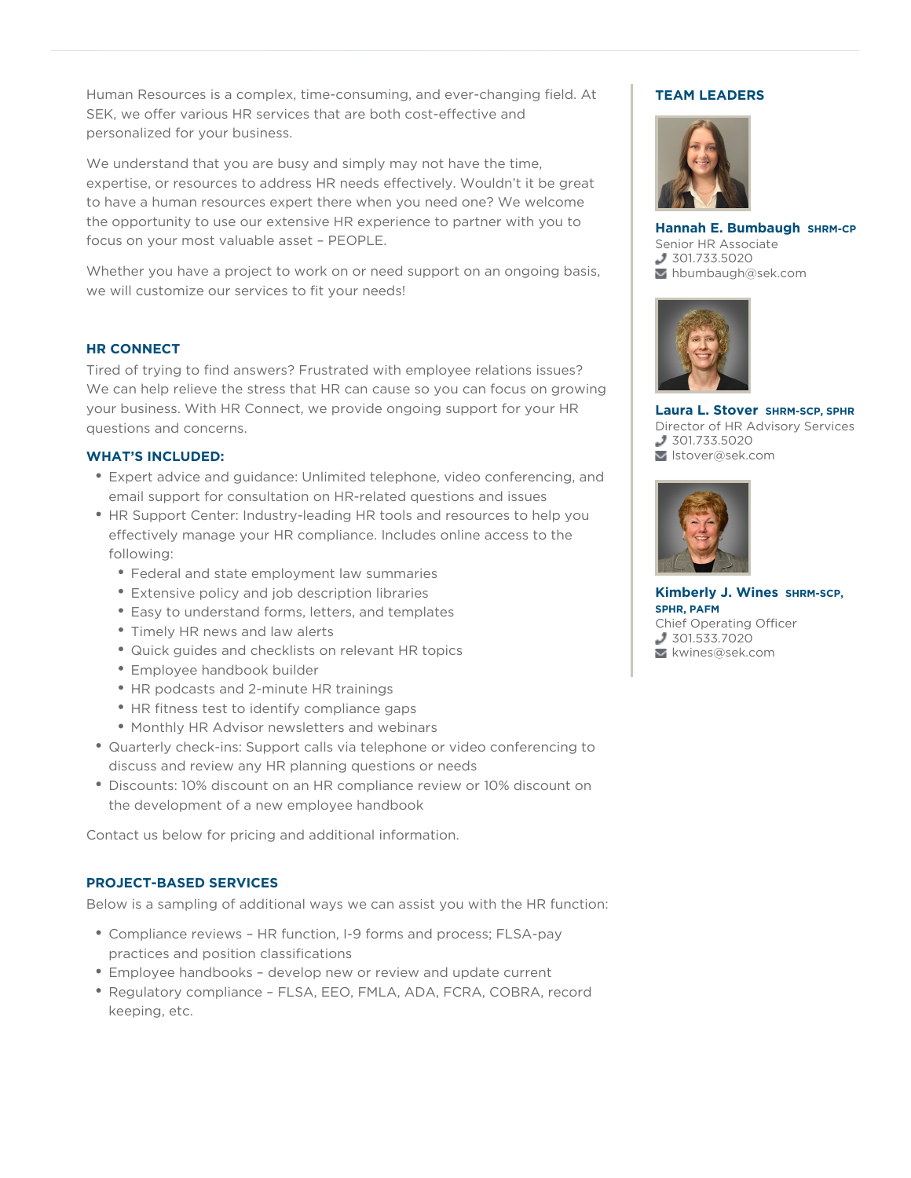personalized for your business.<br>We understand that you are busy and simply may not have the time, Human Resources is a complex, time-consuming, and ever-changing field. At SEK, we offer various HR services that are both cost-effective and personalized for your business.

expertise, or resources to address HR needs effectively. Wouldn't it be great to have a human resources expert there when you need one? We welcome the opportunity to use our extensive HR experience to partner with you to focus on your most valuable asset – PEOPLE.

Whether you have a project to work on or need support on an ongoing basis, we will customize our services to fit your needs!

## **HR CONNECT**

Tired of trying to find answers? Frustrated with employee relations issues? We can help relieve the stress that HR can cause so you can focus on growing your business. With HR Connect, we provide ongoing support for your HR questions and concerns.

#### **WHAT'S INCLUDED:**

- Expert advice and guidance: Unlimited telephone, video conferencing, and email support for consultation on HR-related questions and issues
- HR Support Center: Industry-leading HR tools and resources to help you effectively manage your HR compliance. Includes online access to the following:
	- Federal and state employment law summaries
	- Extensive policy and job description libraries
	- Easy to understand forms, letters, and templates
	- Timely HR news and law alerts
	- Quick guides and checklists on relevant HR topics
	- Employee handbook builder
	- HR podcasts and 2-minute HR trainings
	- HR fitness test to identify compliance gaps
	- Monthly HR Advisor newsletters and webinars
- Quarterly check-ins: Support calls via telephone or video conferencing to discuss and review any HR planning questions or needs
- Discounts: 10% discount on an HR compliance review or 10% discount on the development of a new employee handbook

Contact us below for pricing and additional information.

### **PROJECT-BASED SERVICES**

Below is a sampling of additional ways we can assist you with the HR function:

- Compliance reviews HR function, I-9 forms and process; FLSA-pay practices and position classifications
- Employee handbooks develop new or review and update current
- Regulatory compliance FLSA, EEO, FMLA, ADA, FCRA, COBRA, record keeping, etc.

# **TEAM LEADERS**



**Hannah E. Bumbaugh SHRM-CP** Senior HR Associate 301.733.5020 hbumbaugh@sek.com



**Laura L. Stover SHRM-SCP, SPHR** Director of HR Advisory Services 301.733.5020 lstover@sek.com



**Kimberly J. Wines SHRM-SCP, SPHR, PAFM** Chief Operating Officer 301.533.7020 kwines@sek.com